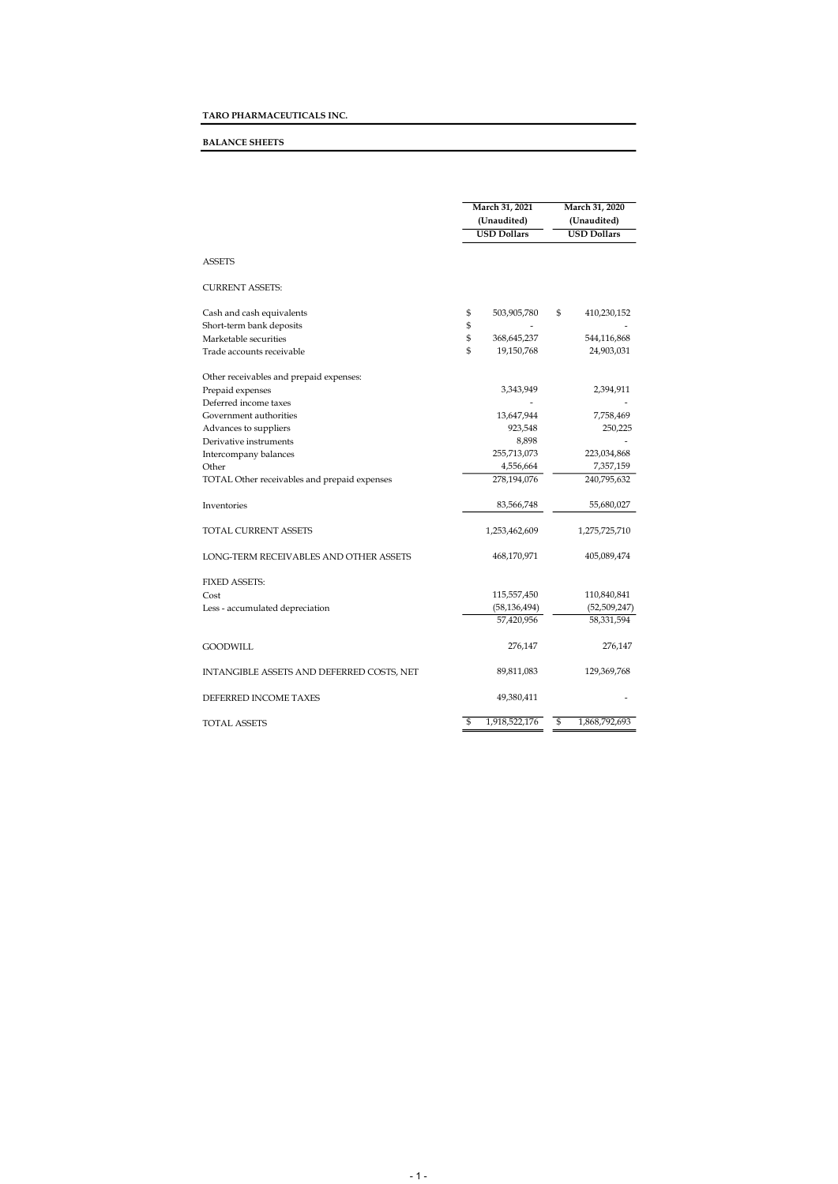## BALANCE SHEETS

|                                              | March 31, 2021<br>(Unaudited) |                    |    | March 31, 2020<br>(Unaudited) |  |  |
|----------------------------------------------|-------------------------------|--------------------|----|-------------------------------|--|--|
|                                              |                               | <b>USD Dollars</b> |    | <b>USD Dollars</b>            |  |  |
| <b>ASSETS</b>                                |                               |                    |    |                               |  |  |
| <b>CURRENT ASSETS:</b>                       |                               |                    |    |                               |  |  |
| Cash and cash equivalents                    | \$                            | 503,905,780        | \$ | 410,230,152                   |  |  |
| Short-term bank deposits                     | \$                            |                    |    |                               |  |  |
| Marketable securities                        | \$                            | 368,645,237        |    | 544,116,868                   |  |  |
| Trade accounts receivable                    | $\mathfrak{S}$                | 19,150,768         |    | 24,903,031                    |  |  |
| Other receivables and prepaid expenses:      |                               |                    |    |                               |  |  |
| Prepaid expenses                             |                               | 3,343,949          |    | 2,394,911                     |  |  |
| Deferred income taxes                        |                               |                    |    |                               |  |  |
| Government authorities                       |                               | 13,647,944         |    | 7,758,469                     |  |  |
| Advances to suppliers                        |                               | 923,548            |    | 250,225                       |  |  |
| Derivative instruments                       |                               | 8,898              |    |                               |  |  |
| Intercompany balances                        |                               | 255,713,073        |    | 223,034,868                   |  |  |
| Other                                        |                               | 4,556,664          |    | 7,357,159                     |  |  |
| TOTAL Other receivables and prepaid expenses |                               | 278,194,076        |    | 240,795,632                   |  |  |
| Inventories                                  |                               | 83,566,748         |    | 55,680,027                    |  |  |
| TOTAL CURRENT ASSETS                         |                               | 1,253,462,609      |    | 1,275,725,710                 |  |  |
| LONG-TERM RECEIVABLES AND OTHER ASSETS       |                               | 468,170,971        |    | 405,089,474                   |  |  |
| <b>FIXED ASSETS:</b>                         |                               |                    |    |                               |  |  |
| Cost                                         |                               | 115,557,450        |    | 110,840,841                   |  |  |
| Less - accumulated depreciation              |                               | (58, 136, 494)     |    | (52, 509, 247)                |  |  |
|                                              |                               | 57,420,956         |    | 58,331,594                    |  |  |
| GOODWILL                                     |                               | 276,147            |    | 276,147                       |  |  |
| INTANGIBLE ASSETS AND DEFERRED COSTS, NET    |                               | 89,811,083         |    | 129,369,768                   |  |  |
| DEFERRED INCOME TAXES                        |                               | 49,380,411         |    |                               |  |  |
| <b>TOTAL ASSETS</b>                          | \$                            | 1,918,522,176      | \$ | 1,868,792,693                 |  |  |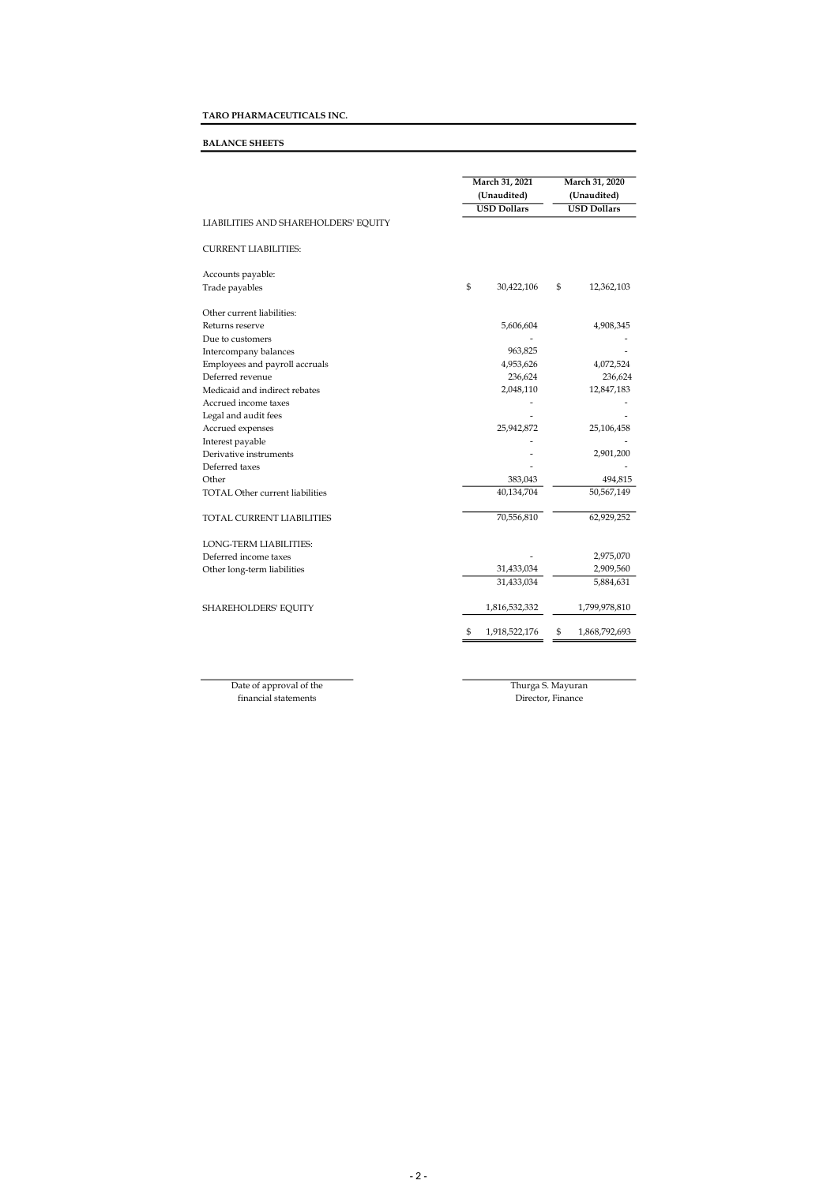# TARO PHARMACEUTICALS INC.

## BALANCE SHEETS

|                                        | March 31, 2021<br>(Unaudited)<br><b>USD Dollars</b> |               |    | March 31, 2020<br>(Unaudited)<br><b>USD Dollars</b> |  |  |
|----------------------------------------|-----------------------------------------------------|---------------|----|-----------------------------------------------------|--|--|
| LIABILITIES AND SHAREHOLDERS' EQUITY   |                                                     |               |    |                                                     |  |  |
| <b>CURRENT LIABILITIES:</b>            |                                                     |               |    |                                                     |  |  |
| Accounts payable:                      |                                                     |               |    |                                                     |  |  |
| Trade payables                         | \$                                                  | 30,422,106    | \$ | 12,362,103                                          |  |  |
| Other current liabilities:             |                                                     |               |    |                                                     |  |  |
| Returns reserve                        |                                                     | 5,606,604     |    | 4,908,345                                           |  |  |
| Due to customers                       |                                                     |               |    |                                                     |  |  |
| Intercompany balances                  |                                                     | 963,825       |    |                                                     |  |  |
| Employees and payroll accruals         |                                                     | 4,953,626     |    | 4,072,524                                           |  |  |
| Deferred revenue                       |                                                     | 236,624       |    | 236,624                                             |  |  |
| Medicaid and indirect rebates          |                                                     | 2,048,110     |    | 12,847,183                                          |  |  |
| Accrued income taxes                   |                                                     |               |    |                                                     |  |  |
| Legal and audit fees                   |                                                     |               |    |                                                     |  |  |
| Accrued expenses                       |                                                     | 25,942,872    |    | 25,106,458                                          |  |  |
| Interest payable                       |                                                     |               |    |                                                     |  |  |
| Derivative instruments                 |                                                     |               |    | 2,901,200                                           |  |  |
| Deferred taxes                         |                                                     |               |    |                                                     |  |  |
| Other                                  |                                                     | 383,043       |    | 494,815                                             |  |  |
| <b>TOTAL Other current liabilities</b> |                                                     | 40,134,704    |    | 50,567,149                                          |  |  |
| <b>TOTAL CURRENT LIABILITIES</b>       |                                                     | 70,556,810    |    | 62,929,252                                          |  |  |
| LONG-TERM LIABILITIES:                 |                                                     |               |    |                                                     |  |  |
| Deferred income taxes                  |                                                     |               |    | 2,975,070                                           |  |  |
| Other long-term liabilities            |                                                     | 31,433,034    |    | 2,909,560                                           |  |  |
|                                        |                                                     | 31,433,034    |    | 5,884,631                                           |  |  |
| SHAREHOLDERS' EQUITY                   |                                                     | 1,816,532,332 |    | 1,799,978,810                                       |  |  |
|                                        | \$                                                  | 1,918,522,176 | \$ | 1,868,792,693                                       |  |  |

Date of approval of the financial statements

Thurga S. Mayuran Director, Finance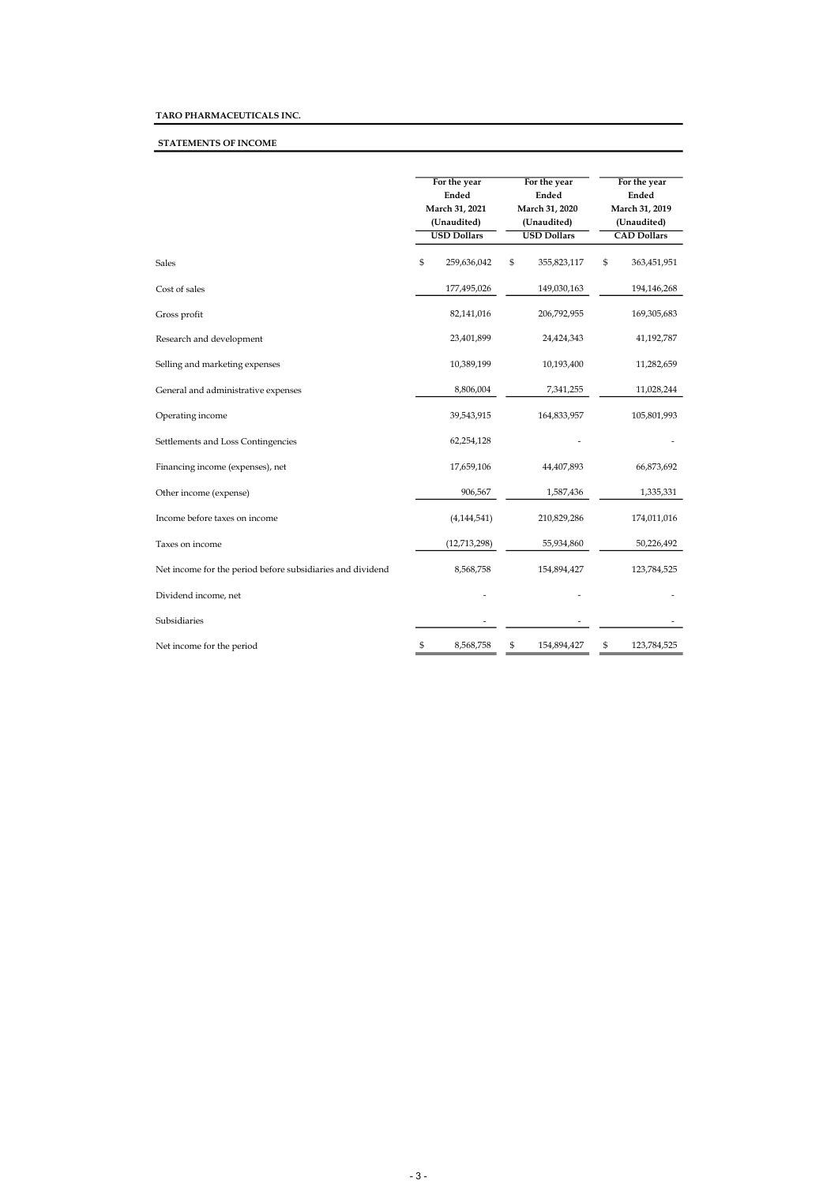# TARO PHARMACEUTICALS INC.

# STATEMENTS OF INCOME

|                                                            |    | For the year<br>Ended<br>March 31, 2021<br>(Unaudited)<br><b>USD Dollars</b> | For the year<br>Ended<br>March 31, 2020<br>(Unaudited)<br><b>USD Dollars</b> | For the year<br>Ended<br>March 31, 2019<br>(Unaudited)<br><b>CAD Dollars</b> |             |  |
|------------------------------------------------------------|----|------------------------------------------------------------------------------|------------------------------------------------------------------------------|------------------------------------------------------------------------------|-------------|--|
| <b>Sales</b>                                               | \$ | 259,636,042                                                                  | \$<br>355,823,117                                                            | \$                                                                           | 363,451,951 |  |
| Cost of sales                                              |    | 177,495,026                                                                  | 149,030,163                                                                  |                                                                              | 194,146,268 |  |
| Gross profit                                               |    | 82,141,016                                                                   | 206,792,955                                                                  |                                                                              | 169,305,683 |  |
| Research and development                                   |    | 23,401,899                                                                   | 24,424,343                                                                   |                                                                              | 41,192,787  |  |
| Selling and marketing expenses                             |    | 10,389,199                                                                   | 10,193,400                                                                   |                                                                              | 11,282,659  |  |
| General and administrative expenses                        |    | 8,806,004                                                                    | 7,341,255                                                                    |                                                                              | 11,028,244  |  |
| Operating income                                           |    | 39,543,915                                                                   | 164,833,957                                                                  |                                                                              | 105,801,993 |  |
| Settlements and Loss Contingencies                         |    | 62,254,128                                                                   |                                                                              |                                                                              |             |  |
| Financing income (expenses), net                           |    | 17,659,106                                                                   | 44,407,893                                                                   |                                                                              | 66,873,692  |  |
| Other income (expense)                                     |    | 906,567                                                                      | 1,587,436                                                                    |                                                                              | 1,335,331   |  |
| Income before taxes on income                              |    | (4, 144, 541)                                                                | 210,829,286                                                                  |                                                                              | 174,011,016 |  |
| Taxes on income                                            |    | (12,713,298)                                                                 | 55,934,860                                                                   |                                                                              | 50,226,492  |  |
| Net income for the period before subsidiaries and dividend |    | 8,568,758                                                                    | 154,894,427                                                                  |                                                                              | 123,784,525 |  |
| Dividend income, net                                       |    |                                                                              |                                                                              |                                                                              |             |  |
| Subsidiaries                                               |    |                                                                              |                                                                              |                                                                              |             |  |
| Net income for the period                                  | \$ | 8,568,758                                                                    | \$<br>154,894,427                                                            | \$                                                                           | 123,784,525 |  |